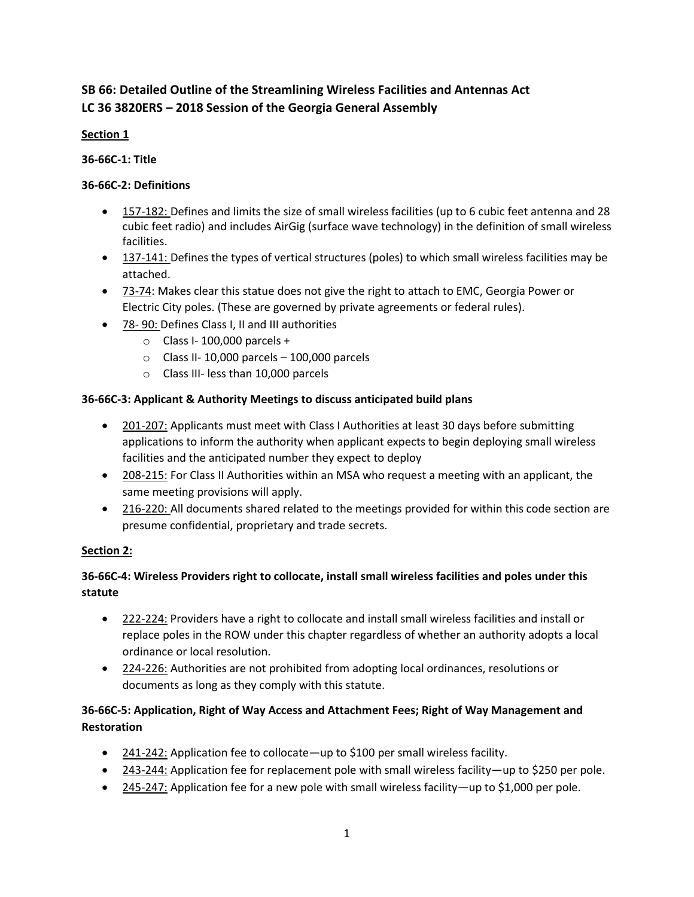# **SB 66: Detailed Outline of the Streamlining Wireless Facilities and Antennas Act LC 36 3820ERS – 2018 Session of the Georgia General Assembly**

#### **Section 1**

**36-66C-1: Title**

### **36-66C-2: Definitions**

- 157-182: Defines and limits the size of small wireless facilities (up to 6 cubic feet antenna and 28 cubic feet radio) and includes AirGig (surface wave technology) in the definition of small wireless facilities.
- 137-141: Defines the types of vertical structures (poles) to which small wireless facilities may be attached.
- 73-74: Makes clear this statue does not give the right to attach to EMC, Georgia Power or Electric City poles. (These are governed by private agreements or federal rules).
- 78- 90: Defines Class I, II and III authorities
	- $\circ$  Class I-100,000 parcels +
	- $\circ$  Class II-10,000 parcels 100,000 parcels
	- o Class III- less than 10,000 parcels

### **36-66C-3: Applicant & Authority Meetings to discuss anticipated build plans**

- 201-207: Applicants must meet with Class I Authorities at least 30 days before submitting applications to inform the authority when applicant expects to begin deploying small wireless facilities and the anticipated number they expect to deploy
- 208-215: For Class II Authorities within an MSA who request a meeting with an applicant, the same meeting provisions will apply.
- 216-220: All documents shared related to the meetings provided for within this code section are presume confidential, proprietary and trade secrets.

#### **Section 2:**

## **36-66C-4: Wireless Providers right to collocate, install small wireless facilities and poles under this statute**

- 222-224: Providers have a right to collocate and install small wireless facilities and install or replace poles in the ROW under this chapter regardless of whether an authority adopts a local ordinance or local resolution.
- 224-226: Authorities are not prohibited from adopting local ordinances, resolutions or documents as long as they comply with this statute.

## **36-66C-5: Application, Right of Way Access and Attachment Fees; Right of Way Management and Restoration**

- 241-242: Application fee to collocate—up to \$100 per small wireless facility.
- 243-244: Application fee for replacement pole with small wireless facility—up to \$250 per pole.
- 245-247: Application fee for a new pole with small wireless facility—up to \$1,000 per pole.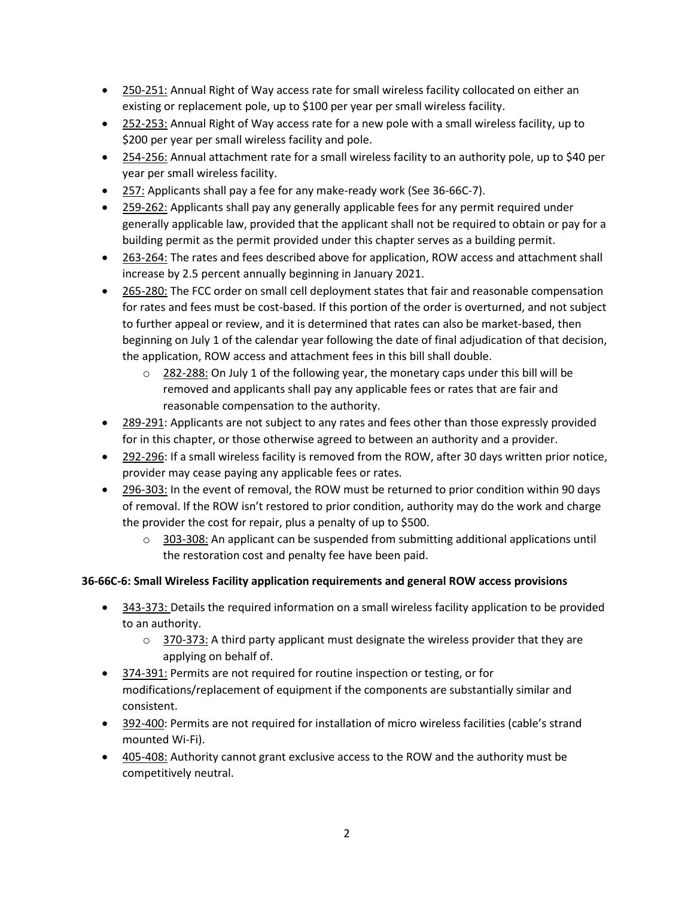- 250-251: Annual Right of Way access rate for small wireless facility collocated on either an existing or replacement pole, up to \$100 per year per small wireless facility.
- 252-253: Annual Right of Way access rate for a new pole with a small wireless facility, up to \$200 per year per small wireless facility and pole.
- 254-256: Annual attachment rate for a small wireless facility to an authority pole, up to \$40 per year per small wireless facility.
- 257: Applicants shall pay a fee for any make-ready work (See 36-66C-7).
- 259-262: Applicants shall pay any generally applicable fees for any permit required under generally applicable law, provided that the applicant shall not be required to obtain or pay for a building permit as the permit provided under this chapter serves as a building permit.
- 263-264: The rates and fees described above for application, ROW access and attachment shall increase by 2.5 percent annually beginning in January 2021.
- 265-280: The FCC order on small cell deployment states that fair and reasonable compensation for rates and fees must be cost-based. If this portion of the order is overturned, and not subject to further appeal or review, and it is determined that rates can also be market-based, then beginning on July 1 of the calendar year following the date of final adjudication of that decision, the application, ROW access and attachment fees in this bill shall double.
	- $\circ$  282-288: On July 1 of the following year, the monetary caps under this bill will be removed and applicants shall pay any applicable fees or rates that are fair and reasonable compensation to the authority.
- 289-291: Applicants are not subject to any rates and fees other than those expressly provided for in this chapter, or those otherwise agreed to between an authority and a provider.
- 292-296: If a small wireless facility is removed from the ROW, after 30 days written prior notice, provider may cease paying any applicable fees or rates.
- 296-303: In the event of removal, the ROW must be returned to prior condition within 90 days of removal. If the ROW isn't restored to prior condition, authority may do the work and charge the provider the cost for repair, plus a penalty of up to \$500.
	- $\circ$  303-308: An applicant can be suspended from submitting additional applications until the restoration cost and penalty fee have been paid.

## **36-66C-6: Small Wireless Facility application requirements and general ROW access provisions**

- 343-373: Details the required information on a small wireless facility application to be provided to an authority.
	- $\circ$  370-373: A third party applicant must designate the wireless provider that they are applying on behalf of.
- 374-391: Permits are not required for routine inspection or testing, or for modifications/replacement of equipment if the components are substantially similar and consistent.
- 392-400: Permits are not required for installation of micro wireless facilities (cable's strand mounted Wi-Fi).
- 405-408: Authority cannot grant exclusive access to the ROW and the authority must be competitively neutral.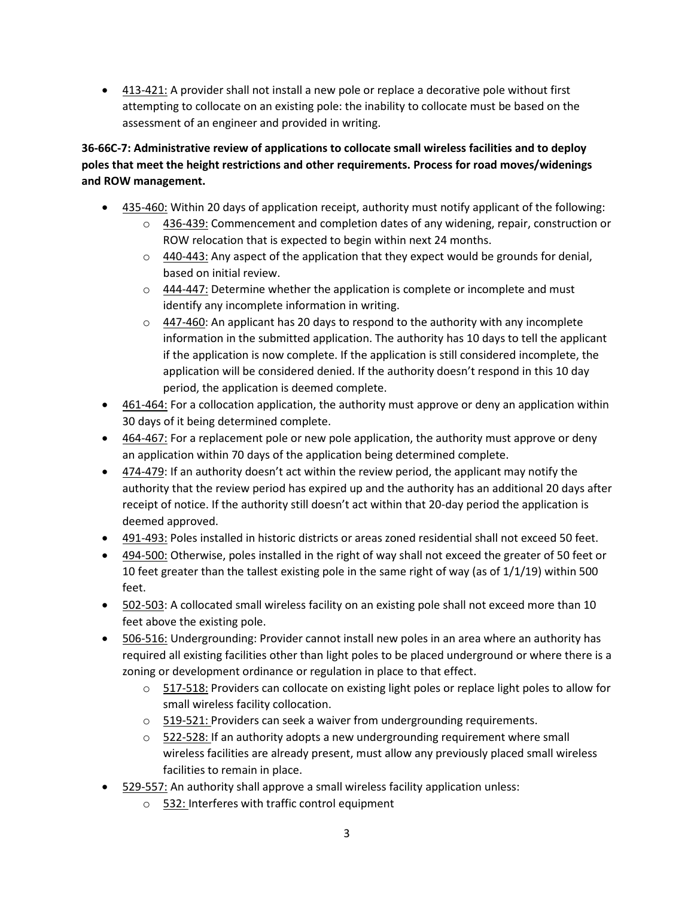• 413-421: A provider shall not install a new pole or replace a decorative pole without first attempting to collocate on an existing pole: the inability to collocate must be based on the assessment of an engineer and provided in writing.

# **36-66C-7: Administrative review of applications to collocate small wireless facilities and to deploy poles that meet the height restrictions and other requirements. Process for road moves/widenings and ROW management.**

- 435-460: Within 20 days of application receipt, authority must notify applicant of the following:
	- $\circ$  436-439: Commencement and completion dates of any widening, repair, construction or ROW relocation that is expected to begin within next 24 months.
	- $\circ$  440-443: Any aspect of the application that they expect would be grounds for denial, based on initial review.
	- $\circ$  444-447: Determine whether the application is complete or incomplete and must identify any incomplete information in writing.
	- $\circ$  447-460: An applicant has 20 days to respond to the authority with any incomplete information in the submitted application. The authority has 10 days to tell the applicant if the application is now complete. If the application is still considered incomplete, the application will be considered denied. If the authority doesn't respond in this 10 day period, the application is deemed complete.
- 461-464: For a collocation application, the authority must approve or deny an application within 30 days of it being determined complete.
- 464-467: For a replacement pole or new pole application, the authority must approve or deny an application within 70 days of the application being determined complete.
- $\bullet$  474-479: If an authority doesn't act within the review period, the applicant may notify the authority that the review period has expired up and the authority has an additional 20 days after receipt of notice. If the authority still doesn't act within that 20-day period the application is deemed approved.
- 491-493: Poles installed in historic districts or areas zoned residential shall not exceed 50 feet.
- 494-500: Otherwise, poles installed in the right of way shall not exceed the greater of 50 feet or 10 feet greater than the tallest existing pole in the same right of way (as of 1/1/19) within 500 feet.
- 502-503: A collocated small wireless facility on an existing pole shall not exceed more than 10 feet above the existing pole.
- 506-516: Undergrounding: Provider cannot install new poles in an area where an authority has required all existing facilities other than light poles to be placed underground or where there is a zoning or development ordinance or regulation in place to that effect.
	- o 517-518: Providers can collocate on existing light poles or replace light poles to allow for small wireless facility collocation.
	- $\circ$  519-521: Providers can seek a waiver from undergrounding requirements.
	- $\circ$  522-528: If an authority adopts a new undergrounding requirement where small wireless facilities are already present, must allow any previously placed small wireless facilities to remain in place.
- 529-557: An authority shall approve a small wireless facility application unless:
	- o 532: Interferes with traffic control equipment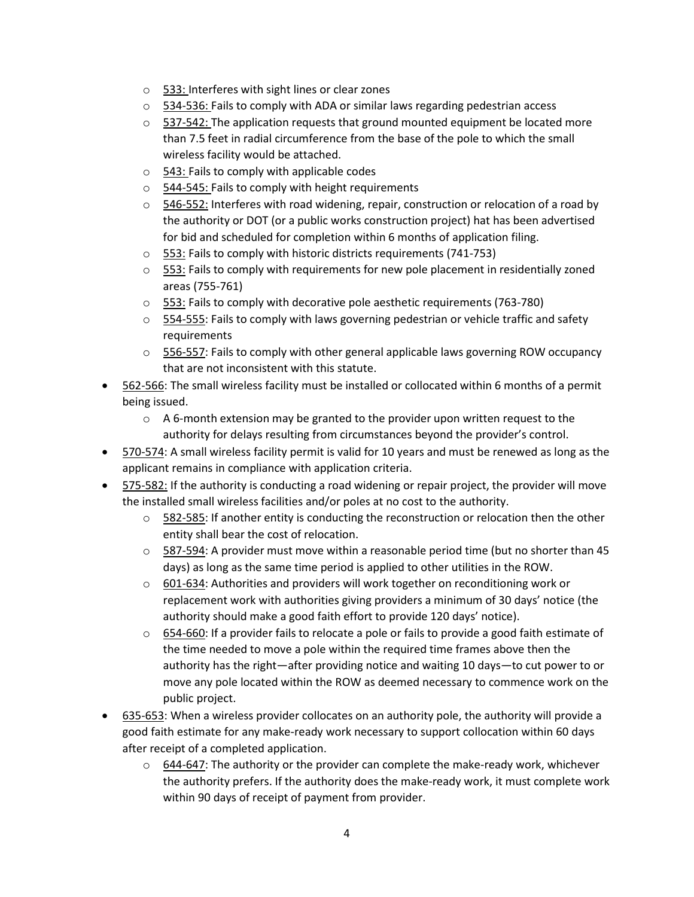- o 533: Interferes with sight lines or clear zones
- o 534-536: Fails to comply with ADA or similar laws regarding pedestrian access
- $\circ$  537-542: The application requests that ground mounted equipment be located more than 7.5 feet in radial circumference from the base of the pole to which the small wireless facility would be attached.
- o 543: Fails to comply with applicable codes
- o 544-545: Fails to comply with height requirements
- $\circ$  546-552: Interferes with road widening, repair, construction or relocation of a road by the authority or DOT (or a public works construction project) hat has been advertised for bid and scheduled for completion within 6 months of application filing.
- o 553: Fails to comply with historic districts requirements (741-753)
- $\circ$  553: Fails to comply with requirements for new pole placement in residentially zoned areas (755-761)
- $\circ$  553: Fails to comply with decorative pole aesthetic requirements (763-780)
- $\circ$  554-555: Fails to comply with laws governing pedestrian or vehicle traffic and safety requirements
- $\circ$  556-557: Fails to comply with other general applicable laws governing ROW occupancy that are not inconsistent with this statute.
- 562-566: The small wireless facility must be installed or collocated within 6 months of a permit being issued.
	- $\circ$  A 6-month extension may be granted to the provider upon written request to the authority for delays resulting from circumstances beyond the provider's control.
- 570-574: A small wireless facility permit is valid for 10 years and must be renewed as long as the applicant remains in compliance with application criteria.
- 575-582: If the authority is conducting a road widening or repair project, the provider will move the installed small wireless facilities and/or poles at no cost to the authority.
	- $\circ$  582-585: If another entity is conducting the reconstruction or relocation then the other entity shall bear the cost of relocation.
	- $\circ$  587-594: A provider must move within a reasonable period time (but no shorter than 45 days) as long as the same time period is applied to other utilities in the ROW.
	- $\circ$  601-634: Authorities and providers will work together on reconditioning work or replacement work with authorities giving providers a minimum of 30 days' notice (the authority should make a good faith effort to provide 120 days' notice).
	- $\circ$  654-660: If a provider fails to relocate a pole or fails to provide a good faith estimate of the time needed to move a pole within the required time frames above then the authority has the right—after providing notice and waiting 10 days—to cut power to or move any pole located within the ROW as deemed necessary to commence work on the public project.
- 635-653: When a wireless provider collocates on an authority pole, the authority will provide a good faith estimate for any make-ready work necessary to support collocation within 60 days after receipt of a completed application.
	- $\circ$  644-647: The authority or the provider can complete the make-ready work, whichever the authority prefers. If the authority does the make-ready work, it must complete work within 90 days of receipt of payment from provider.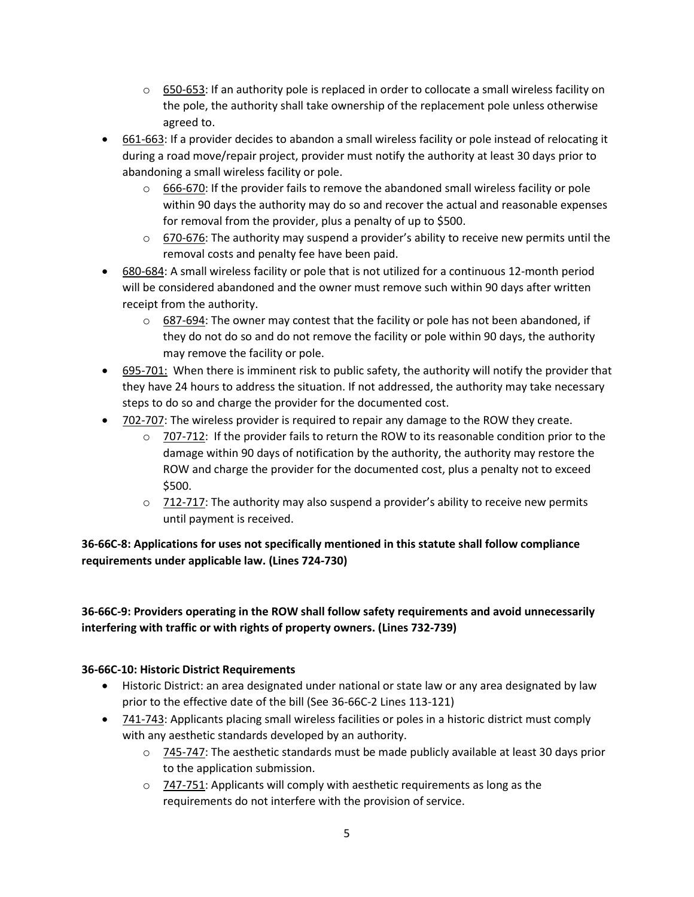- $\circ$  650-653: If an authority pole is replaced in order to collocate a small wireless facility on the pole, the authority shall take ownership of the replacement pole unless otherwise agreed to.
- 661-663: If a provider decides to abandon a small wireless facility or pole instead of relocating it during a road move/repair project, provider must notify the authority at least 30 days prior to abandoning a small wireless facility or pole.
	- $\circ$  666-670: If the provider fails to remove the abandoned small wireless facility or pole within 90 days the authority may do so and recover the actual and reasonable expenses for removal from the provider, plus a penalty of up to \$500.
	- $\circ$  670-676: The authority may suspend a provider's ability to receive new permits until the removal costs and penalty fee have been paid.
- 680-684: A small wireless facility or pole that is not utilized for a continuous 12-month period will be considered abandoned and the owner must remove such within 90 days after written receipt from the authority.
	- $\circ$  687-694: The owner may contest that the facility or pole has not been abandoned, if they do not do so and do not remove the facility or pole within 90 days, the authority may remove the facility or pole.
- 695-701: When there is imminent risk to public safety, the authority will notify the provider that they have 24 hours to address the situation. If not addressed, the authority may take necessary steps to do so and charge the provider for the documented cost.
- 702-707: The wireless provider is required to repair any damage to the ROW they create.
	- $\circ$  707-712: If the provider fails to return the ROW to its reasonable condition prior to the damage within 90 days of notification by the authority, the authority may restore the ROW and charge the provider for the documented cost, plus a penalty not to exceed \$500.
	- $\circ$  712-717: The authority may also suspend a provider's ability to receive new permits until payment is received.

## **36-66C-8: Applications for uses not specifically mentioned in this statute shall follow compliance requirements under applicable law. (Lines 724-730)**

## **36-66C-9: Providers operating in the ROW shall follow safety requirements and avoid unnecessarily interfering with traffic or with rights of property owners. (Lines 732-739)**

#### **36-66C-10: Historic District Requirements**

- Historic District: an area designated under national or state law or any area designated by law prior to the effective date of the bill (See 36-66C-2 Lines 113-121)
- 741-743: Applicants placing small wireless facilities or poles in a historic district must comply with any aesthetic standards developed by an authority.
	- $\circ$  745-747: The aesthetic standards must be made publicly available at least 30 days prior to the application submission.
	- $\circ$  747-751: Applicants will comply with aesthetic requirements as long as the requirements do not interfere with the provision of service.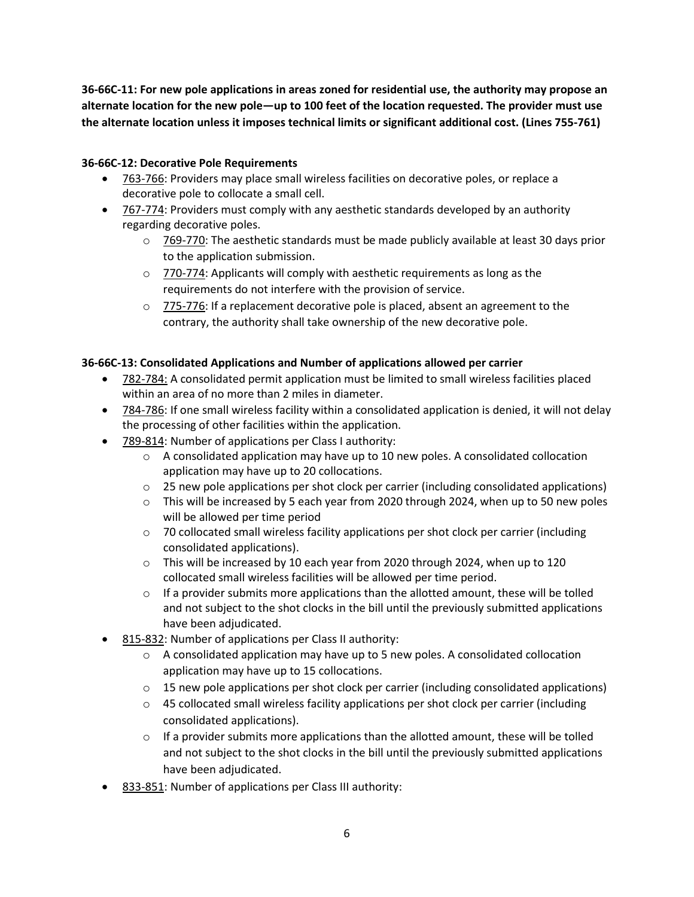**36-66C-11: For new pole applications in areas zoned for residential use, the authority may propose an alternate location for the new pole—up to 100 feet of the location requested. The provider must use the alternate location unless it imposes technical limits or significant additional cost. (Lines 755-761)**

#### **36-66C-12: Decorative Pole Requirements**

- 763-766: Providers may place small wireless facilities on decorative poles, or replace a decorative pole to collocate a small cell.
- 767-774: Providers must comply with any aesthetic standards developed by an authority regarding decorative poles.
	- $\circ$  769-770: The aesthetic standards must be made publicly available at least 30 days prior to the application submission.
	- o 770-774: Applicants will comply with aesthetic requirements as long as the requirements do not interfere with the provision of service.
	- $\circ$  775-776: If a replacement decorative pole is placed, absent an agreement to the contrary, the authority shall take ownership of the new decorative pole.

#### **36-66C-13: Consolidated Applications and Number of applications allowed per carrier**

- 782-784: A consolidated permit application must be limited to small wireless facilities placed within an area of no more than 2 miles in diameter.
- 784-786: If one small wireless facility within a consolidated application is denied, it will not delay the processing of other facilities within the application.
- 789-814: Number of applications per Class I authority:
	- $\circ$  A consolidated application may have up to 10 new poles. A consolidated collocation application may have up to 20 collocations.
	- $\circ$  25 new pole applications per shot clock per carrier (including consolidated applications)
	- o This will be increased by 5 each year from 2020 through 2024, when up to 50 new poles will be allowed per time period
	- $\circ$  70 collocated small wireless facility applications per shot clock per carrier (including consolidated applications).
	- o This will be increased by 10 each year from 2020 through 2024, when up to 120 collocated small wireless facilities will be allowed per time period.
	- $\circ$  If a provider submits more applications than the allotted amount, these will be tolled and not subject to the shot clocks in the bill until the previously submitted applications have been adjudicated.
- 815-832: Number of applications per Class II authority:
	- $\circ$  A consolidated application may have up to 5 new poles. A consolidated collocation application may have up to 15 collocations.
	- $\circ$  15 new pole applications per shot clock per carrier (including consolidated applications)
	- $\circ$  45 collocated small wireless facility applications per shot clock per carrier (including consolidated applications).
	- $\circ$  If a provider submits more applications than the allotted amount, these will be tolled and not subject to the shot clocks in the bill until the previously submitted applications have been adjudicated.
- 833-851: Number of applications per Class III authority: